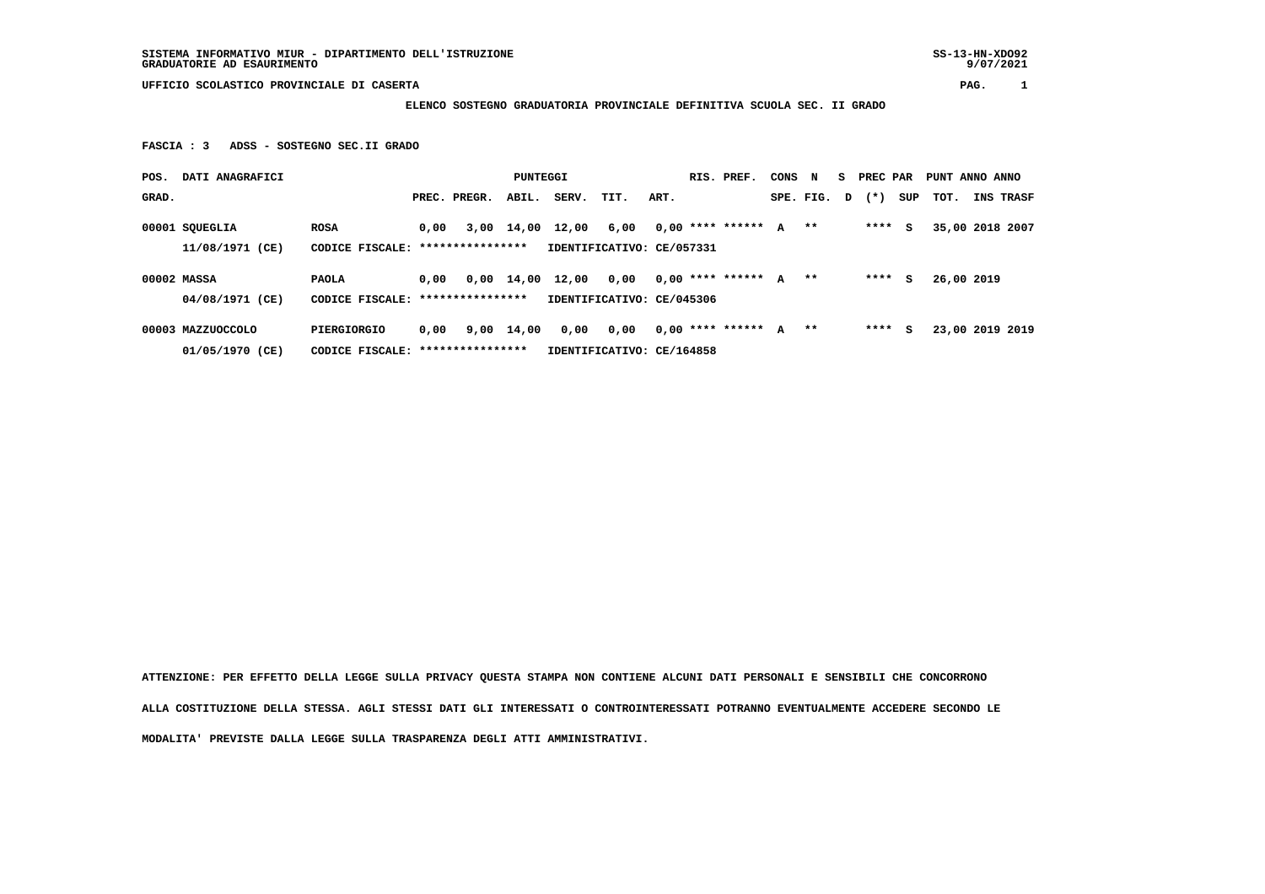**UFFICIO SCOLASTICO PROVINCIALE DI CASERTA PAG. 1**

 **ELENCO SOSTEGNO GRADUATORIA PROVINCIALE DEFINITIVA SCUOLA SEC. II GRADO**

 **FASCIA : 3 ADSS - SOSTEGNO SEC.II GRADO**

| POS.  | DATI ANAGRAFICI                                     |                                  |                                   |              |            |                           | PUNTEGGI                   |      |  | RIS. PREF.              | CONS | $\mathbf N$ | S PREC PAR          |     | PUNT ANNO ANNO  |                  |
|-------|-----------------------------------------------------|----------------------------------|-----------------------------------|--------------|------------|---------------------------|----------------------------|------|--|-------------------------|------|-------------|---------------------|-----|-----------------|------------------|
| GRAD. |                                                     |                                  |                                   | PREC. PREGR. | ABIL.      | SERV.                     | TIT.                       | ART. |  |                         |      |             | SPE. FIG. $D$ $(*)$ | SUP | тот.            | <b>INS TRASF</b> |
|       | 00001 SQUEGLIA                                      | <b>ROSA</b>                      | 0,00                              |              |            | 3,00 14,00 12,00          | 6,00 0,00 **** ****** A ** |      |  |                         |      |             | **** S              |     | 35,00 2018 2007 |                  |
|       | 11/08/1971 (CE)                                     |                                  | CODICE FISCALE: ***************** |              |            | IDENTIFICATIVO: CE/057331 |                            |      |  |                         |      |             |                     |     |                 |                  |
|       | 00002 MASSA                                         | <b>PAOLA</b>                     | 0,00                              |              |            | 0,00 14,00 12,00          | 0,00                       |      |  | $0,00$ **** ****** A ** |      |             | $***$ S             |     | 26,00 2019      |                  |
|       | 04/08/1971 (CE)                                     | CODICE FISCALE: **************** |                                   |              |            |                           | IDENTIFICATIVO: CE/045306  |      |  |                         |      |             |                     |     |                 |                  |
|       | 00003 MAZZUOCCOLO                                   | PIERGIORGIO                      | 0.00                              |              | 9,00 14,00 | 0,00                      | 0,00                       |      |  | $0,00$ **** ****** A ** |      |             | ****                | s   | 23,00 2019 2019 |                  |
|       | CODICE FISCALE: ****************<br>01/05/1970 (CE) |                                  |                                   |              |            | IDENTIFICATIVO: CE/164858 |                            |      |  |                         |      |             |                     |     |                 |                  |

 **ATTENZIONE: PER EFFETTO DELLA LEGGE SULLA PRIVACY QUESTA STAMPA NON CONTIENE ALCUNI DATI PERSONALI E SENSIBILI CHE CONCORRONO ALLA COSTITUZIONE DELLA STESSA. AGLI STESSI DATI GLI INTERESSATI O CONTROINTERESSATI POTRANNO EVENTUALMENTE ACCEDERE SECONDO LE MODALITA' PREVISTE DALLA LEGGE SULLA TRASPARENZA DEGLI ATTI AMMINISTRATIVI.**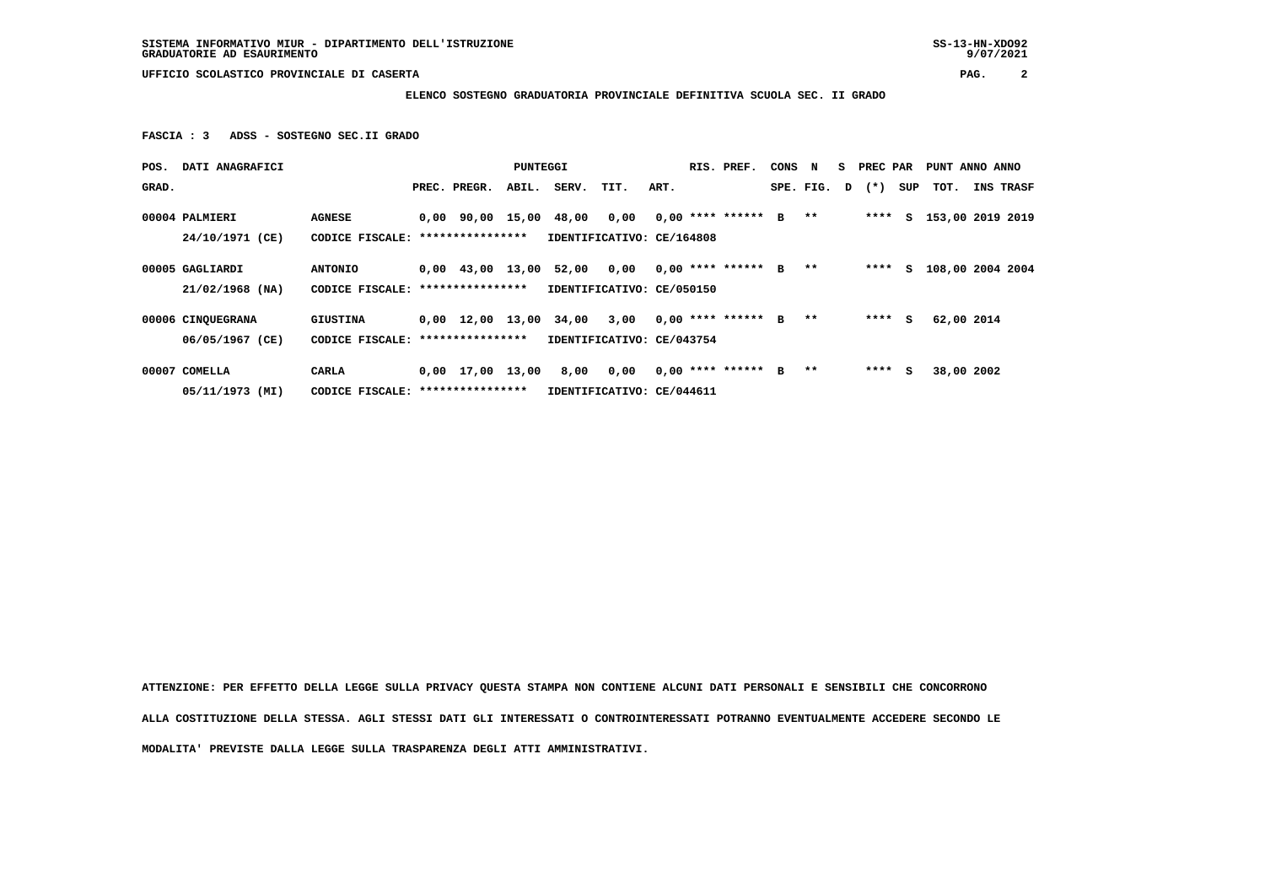**UFFICIO SCOLASTICO PROVINCIALE DI CASERTA PAG. 2**

 **ELENCO SOSTEGNO GRADUATORIA PROVINCIALE DEFINITIVA SCUOLA SEC. II GRADO**

 **FASCIA : 3 ADSS - SOSTEGNO SEC.II GRADO**

| POS.  | DATI ANAGRAFICI   |                                  |                                   |                    | PUNTEGGI |                               |                           |      |  | RIS. PREF.           | CONS | N             | s | PREC PAR |     | PUNT ANNO ANNO   |            |           |
|-------|-------------------|----------------------------------|-----------------------------------|--------------------|----------|-------------------------------|---------------------------|------|--|----------------------|------|---------------|---|----------|-----|------------------|------------|-----------|
| GRAD. |                   |                                  |                                   | PREC. PREGR.       | ABIL.    | SERV.                         | TIT.                      | ART. |  |                      |      | SPE. FIG.     | D | $(* )$   | SUP | тот.             |            | INS TRASF |
|       | 00004 PALMIERI    | <b>AGNESE</b>                    |                                   |                    |          | 0,00 90,00 15,00 48,00        | 0,00                      |      |  | $0.00$ **** ****** B |      | $***$         |   | ****     | S.  | 153,00 2019 2019 |            |           |
|       | 24/10/1971 (CE)   | CODICE FISCALE: **************** |                                   |                    |          |                               | IDENTIFICATIVO: CE/164808 |      |  |                      |      |               |   |          |     |                  |            |           |
|       | 00005 GAGLIARDI   | <b>ANTONIO</b>                   |                                   |                    |          | 0,00 43,00 13,00 52,00 0,00   |                           |      |  | $0.00$ **** ****** B |      | $***$         |   | ****     | S.  | 108,00 2004 2004 |            |           |
|       | $21/02/1968$ (NA) | CODICE FISCALE:                  |                                   | ****************   |          |                               | IDENTIFICATIVO: CE/050150 |      |  |                      |      |               |   |          |     |                  |            |           |
|       | 00006 CINQUEGRANA | GIUSTINA                         |                                   |                    |          | $0,00$ 12,00 13,00 34,00 3,00 |                           |      |  | $0.00$ **** ****** B |      | $\star \star$ |   | ****     | S.  |                  | 62,00 2014 |           |
|       | 06/05/1967 (CE)   | CODICE FISCALE:                  |                                   | ****************   |          |                               | IDENTIFICATIVO: CE/043754 |      |  |                      |      |               |   |          |     |                  |            |           |
|       | 00007 COMELLA     | CARLA                            |                                   | $0,00$ 17,00 13,00 |          | 8,00                          | 0,00                      |      |  | $0.00$ **** ****** B |      | $***$         |   | $***5$   |     |                  | 38,00 2002 |           |
|       | 05/11/1973 (MI)   |                                  | CODICE FISCALE: ***************** |                    |          | IDENTIFICATIVO: CE/044611     |                           |      |  |                      |      |               |   |          |     |                  |            |           |

 **ATTENZIONE: PER EFFETTO DELLA LEGGE SULLA PRIVACY QUESTA STAMPA NON CONTIENE ALCUNI DATI PERSONALI E SENSIBILI CHE CONCORRONO ALLA COSTITUZIONE DELLA STESSA. AGLI STESSI DATI GLI INTERESSATI O CONTROINTERESSATI POTRANNO EVENTUALMENTE ACCEDERE SECONDO LE MODALITA' PREVISTE DALLA LEGGE SULLA TRASPARENZA DEGLI ATTI AMMINISTRATIVI.**